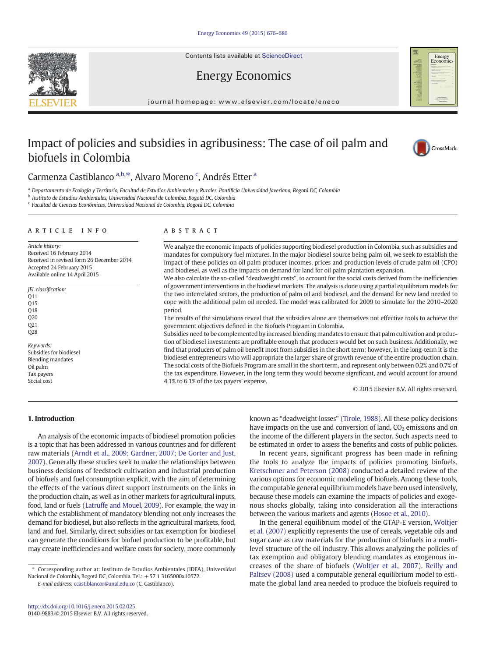Contents lists available at ScienceDirect

# Energy Economics

journal homepage:<www.elsevier.com/locate/eneco>

# Impact of policies and subsidies in agribusiness: The case of oil palm and biofuels in Colombia



Energy<br>Economics

## Carmenza Castiblanco a,b,\*, Alvaro Moreno <sup>c</sup>, Andrés Etter <sup>a</sup>

a Departamento de Ecología y Territorio, Facultad de Estudios Ambientales y Rurales, Pontificia Universidad Javeriana, Bogotá DC, Colombia

<sup>b</sup> Instituto de Estudios Ambientales, Universidad Nacional de Colombia, Bogotá DC, Colombia

<sup>c</sup> Facultad de Ciencias Económicas, Universidad Nacional de Colombia, Bogotá DC, Colombia

#### article info abstract

Article history: Received 16 February 2014 Received in revised form 26 December 2014 Accepted 24 February 2015 Available online 14 April 2015

JEL classification:  $\Omega$ 11 Q15 O<sub>18</sub> Q20  $O21$ Q28 Keywords:

Subsidies for biodiesel Blending mandates Oil palm Tax payers Social cost

#### We analyze the economic impacts of policies supporting biodiesel production in Colombia, such as subsidies and mandates for compulsory fuel mixtures. In the major biodiesel source being palm oil, we seek to establish the impact of these policies on oil palm producer incomes, prices and production levels of crude palm oil (CPO) and biodiesel, as well as the impacts on demand for land for oil palm plantation expansion.

We also calculate the so-called "deadweight costs", to account for the social costs derived from the inefficiencies of government interventions in the biodiesel markets. The analysis is done using a partial equilibrium models for the two interrelated sectors, the production of palm oil and biodiesel, and the demand for new land needed to cope with the additional palm oil needed. The model was calibrated for 2009 to simulate for the 2010–2020 period.

The results of the simulations reveal that the subsidies alone are themselves not effective tools to achieve the government objectives defined in the Biofuels Program in Colombia.

Subsidies need to be complemented by increased blending mandates to ensure that palm cultivation and production of biodiesel investments are profitable enough that producers would bet on such business. Additionally, we find that producers of palm oil benefit most from subsidies in the short term; however, in the long-term it is the biodiesel entrepreneurs who will appropriate the larger share of growth revenue of the entire production chain. The social costs of the Biofuels Program are small in the short term, and represent only between 0.2% and 0.7% of the tax expenditure. However, in the long term they would become significant, and would account for around 4.1% to 6.1% of the tax payers' expense.

© 2015 Elsevier B.V. All rights reserved.

### 1. Introduction

An analysis of the economic impacts of biodiesel promotion policies is a topic that has been addressed in various countries and for different raw materials ([Arndt et al., 2009; Gardner, 2007; De Gorter and Just,](#page--1-0) [2007\)](#page--1-0). Generally these studies seek to make the relationships between business decisions of feedstock cultivation and industrial production of biofuels and fuel consumption explicit, with the aim of determining the effects of the various direct support instruments on the links in the production chain, as well as in other markets for agricultural inputs, food, land or fuels [\(Latruffe and Mouel, 2009](#page--1-0)). For example, the way in which the establishment of mandatory blending not only increases the demand for biodiesel, but also reflects in the agricultural markets, food, land and fuel. Similarly, direct subsidies or tax exemption for biodiesel can generate the conditions for biofuel production to be profitable, but may create inefficiencies and welfare costs for society, more commonly

E-mail address: [ccastiblancor@unal.edu.co](mailto:ccastiblancor@unal.edu.co) (C. Castiblanco).

known as "deadweight losses" [\(Tirole, 1988\)](#page--1-0). All these policy decisions have impacts on the use and conversion of land,  $CO<sub>2</sub>$  emissions and on the income of the different players in the sector. Such aspects need to be estimated in order to assess the benefits and costs of public policies.

In recent years, significant progress has been made in refining the tools to analyze the impacts of policies promoting biofuels. [Kretschmer and Peterson \(2008\)](#page--1-0) conducted a detailed review of the various options for economic modeling of biofuels. Among these tools, the computable general equilibrium models have been used intensively, because these models can examine the impacts of policies and exogenous shocks globally, taking into consideration all the interactions between the various markets and agents [\(Hosoe et al., 2010](#page--1-0)).

In the general equilibrium model of the GTAP-E version, [Woltjer](#page--1-0) [et al. \(2007\)](#page--1-0) explicitly represents the use of cereals, vegetable oils and sugar cane as raw materials for the production of biofuels in a multilevel structure of the oil industry. This allows analyzing the policies of tax exemption and obligatory blending mandates as exogenous increases of the share of biofuels [\(Woltjer et al., 2007](#page--1-0)). [Reilly and](#page--1-0) [Paltsev \(2008\)](#page--1-0) used a computable general equilibrium model to estimate the global land area needed to produce the biofuels required to



<sup>⁎</sup> Corresponding author at: Instituto de Estudios Ambientales (IDEA), Universidad Nacional de Colombia, Bogotá DC, Colombia. Tel.: +57 1 3165000x10572.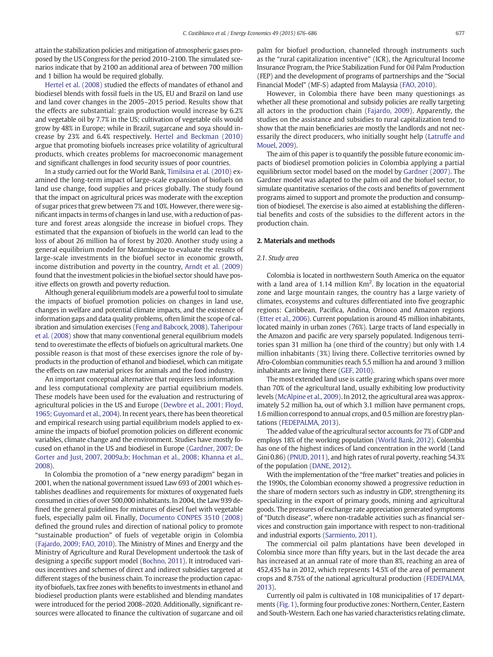attain the stabilization policies and mitigation of atmospheric gases proposed by the US Congress for the period 2010–2100. The simulated scenarios indicate that by 2100 an additional area of between 700 million and 1 billion ha would be required globally.

[Hertel et al. \(2008\)](#page--1-0) studied the effects of mandates of ethanol and biodiesel blends with fossil fuels in the US, EU and Brazil on land use and land cover changes in the 2005–2015 period. Results show that the effects are substantial: grain production would increase by 6.2% and vegetable oil by 7.7% in the US; cultivation of vegetable oils would grow by 48% in Europe; while in Brazil, sugarcane and soya should increase by 23% and 6.4% respectively. [Hertel and Beckman \(2010\)](#page--1-0) argue that promoting biofuels increases price volatility of agricultural products, which creates problems for macroeconomic management and significant challenges in food security issues of poor countries.

In a study carried out for the World Bank, [Timilsina et al. \(2010\)](#page--1-0) examined the long-term impact of large-scale expansion of biofuels on land use change, food supplies and prices globally. The study found that the impact on agricultural prices was moderate with the exception of sugar prices that grew between 7% and 10%. However, there were significant impacts in terms of changes in land use, with a reduction of pasture and forest areas alongside the increase in biofuel crops. They estimated that the expansion of biofuels in the world can lead to the loss of about 26 million ha of forest by 2020. Another study using a general equilibrium model for Mozambique to evaluate the results of large-scale investments in the biofuel sector in economic growth, income distribution and poverty in the country, [Arndt et al. \(2009\)](#page--1-0) found that the investment policies in the biofuel sector should have positive effects on growth and poverty reduction.

Although general equilibrium models are a powerful tool to simulate the impacts of biofuel promotion policies on changes in land use, changes in welfare and potential climate impacts, and the existence of information gaps and data quality problems, often limit the scope of calibration and simulation exercises ([Feng and Babcock, 2008\)](#page--1-0). [Taheripour](#page--1-0) [et al. \(2008\)](#page--1-0) show that many conventional general equilibrium models tend to overestimate the effects of biofuels on agricultural markets. One possible reason is that most of these exercises ignore the role of byproducts in the production of ethanol and biodiesel, which can mitigate the effects on raw material prices for animals and the food industry.

An important conceptual alternative that requires less information and less computational complexity are partial equilibrium models. These models have been used for the evaluation and restructuring of agricultural policies in the US and Europe ([Dewbre et al., 2001; Floyd,](#page--1-0) [1965; Guyomard et al., 2004](#page--1-0)). In recent years, there has been theoretical and empirical research using partial equilibrium models applied to examine the impacts of biofuel promotion policies on different economic variables, climate change and the environment. Studies have mostly focused on ethanol in the US and biodiesel in Europe [\(Gardner, 2007; De](#page--1-0) [Gorter and Just, 2007, 2009a,b; Hochman et al., 2008; Khanna et al.,](#page--1-0) [2008](#page--1-0)).

In Colombia the promotion of a "new energy paradigm" began in 2001, when the national government issued Law 693 of 2001 which establishes deadlines and requirements for mixtures of oxygenated fuels consumed in cities of over 500,000 inhabitants. In 2004, the Law 939 defined the general guidelines for mixtures of diesel fuel with vegetable fuels, especially palm oil. Finally, [Documento CONPES 3510 \(2008\)](#page--1-0) defined the ground rules and direction of national policy to promote "sustainable production" of fuels of vegetable origin in Colombia [\(Fajardo, 2009; FAO, 2010\)](#page--1-0). The Ministry of Mines and Energy and the Ministry of Agriculture and Rural Development undertook the task of designing a specific support model [\(Bochno, 2011\)](#page--1-0). It introduced various incentives and schemes of direct and indirect subsidies targeted at different stages of the business chain. To increase the production capacity of biofuels, tax free zones with benefits to investments in ethanol and biodiesel production plants were established and blending mandates were introduced for the period 2008–2020. Additionally, significant resources were allocated to finance the cultivation of sugarcane and oil

palm for biofuel production, channeled through instruments such as the "rural capitalization incentive" (ICR), the Agricultural Income Insurance Program, the Price Stabilization Fund for Oil Palm Production (FEP) and the development of programs of partnerships and the "Social Financial Model" (MF-S) adapted from Malaysia [\(FAO, 2010](#page--1-0)).

However, in Colombia there have been many questionings as whether all these promotional and subsidy policies are really targeting all actors in the production chain [\(Fajardo, 2009\)](#page--1-0). Apparently, the studies on the assistance and subsidies to rural capitalization tend to show that the main beneficiaries are mostly the landlords and not necessarily the direct producers, who initially sought help [\(Latruffe and](#page--1-0) [Mouel, 2009\)](#page--1-0).

The aim of this paper is to quantify the possible future economic impacts of biodiesel promotion policies in Colombia applying a partial equilibrium sector model based on the model by [Gardner \(2007\)](#page--1-0). The Gardner model was adapted to the palm oil and the biofuel sector, to simulate quantitative scenarios of the costs and benefits of government programs aimed to support and promote the production and consumption of biodiesel. The exercise is also aimed at establishing the differential benefits and costs of the subsidies to the different actors in the production chain.

#### 2. Materials and methods

#### 2.1. Study area

Colombia is located in northwestern South America on the equator with a land area of 1.14 million  $Km^2$ . By location in the equatorial zone and large mountain ranges, the country has a large variety of climates, ecosystems and cultures differentiated into five geographic regions: Caribbean, Pacifica, Andina, Orinoco and Amazon regions [\(Etter et al., 2006\)](#page--1-0). Current population is around 45 million inhabitants, located mainly in urban zones (76%). Large tracts of land especially in the Amazon and pacific are very sparsely populated. Indigenous territories span 31 million ha (one third of the country) but only with 1.4 million inhabitants (3%) living there. Collective territories owned by Afro-Colombian communities reach 5.5 million ha and around 3 million inhabitants are living there [\(GEF, 2010](#page--1-0)).

The most extended land use is cattle grazing which spans over more than 70% of the agricultural land, usually exhibiting low productivity levels ([McAlpine et al., 2009\)](#page--1-0). In 2012, the agricultural area was approximately 5.2 million ha, out of which 3.1 million have permanent crops, 1.6 million correspond to annual crops, and 0.5 million are forestry plantations [\(FEDEPALMA, 2013\)](#page--1-0).

The added value of the agricultural sector accounts for 7% of GDP and employs 18% of the working population [\(World Bank, 2012\)](#page--1-0). Colombia has one of the highest indices of land concentration in the world (Land Gini 0.86) [\(PNUD, 2011\)](#page--1-0), and high rates of rural poverty, reaching 54.3% of the population [\(DANE, 2012\)](#page--1-0).

With the implementation of the "free market" treaties and policies in the 1990s, the Colombian economy showed a progressive reduction in the share of modern sectors such as industry in GDP, strengthening its specializing in the export of primary goods, mining and agricultural goods. The pressures of exchange rate appreciation generated symptoms of "Dutch disease", where non-tradable activities such as financial services and construction gain importance with respect to non-traditional and industrial exports [\(Sarmiento, 2011\)](#page--1-0).

The commercial oil palm plantations have been developed in Colombia since more than fifty years, but in the last decade the area has increased at an annual rate of more than 8%, reaching an area of 452,435 ha in 2012, which represents 14.5% of the area of permanent crops and 8.75% of the national agricultural production [\(FEDEPALMA,](#page--1-0) [2013](#page--1-0)).

Currently oil palm is cultivated in 108 municipalities of 17 departments ([Fig. 1\)](#page--1-0), forming four productive zones: Northern, Center, Eastern and South-Western. Each one has varied characteristics relating climate,